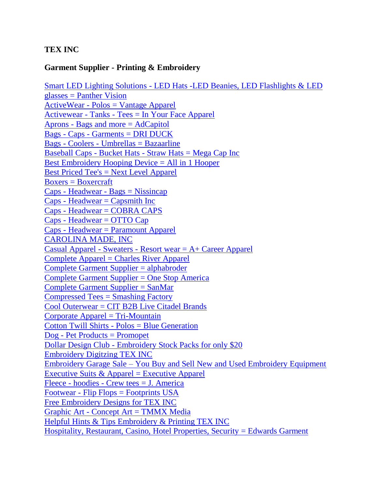## **TEX INC**

## **Garment Supplier - Printing & Embroidery**

Smart LED Lighting Solutions - [LED Hats -LED Beanies, LED Flashlights & LED](https://www.panthervision.com/)  [glasses = Panther Vision](https://www.panthervision.com/) ActiveWear - [Polos = Vantage Apparel](https://vantageapparel.com/) Activewear - Tanks - [Tees = In Your Face Apparel](https://www.inyourfaceapparel.com/) Aprons - [Bags and more = AdCapitol](http://www.adcapitol.com/) Bags - Caps - [Garments = DRI DUCK](https://www.driduck.com/) Bags - Coolers - [Umbrellas = Bazaarline](http://www.bazaarline.com/default.asp) Baseball Caps - Bucket Hats - [Straw Hats = Mega Cap Inc](http://www.megacapinc.com/) [Best Embroidery Hooping Device = All in 1 Hooper](https://www.tex-inc.com/products/all-in-1-hooper) [Best Priced Tee's = Next Level Apparel](https://www.nextlevelapparel.com/) [Boxers = Boxercraft](http://www.boxercraft.com/) Caps - Headwear - [Bags = Nissincap](https://www.nissincap.com/)  $Caps$  - Headwear =  $Capsmith$  Inc Caps - [Headwear = COBRA CAPS](https://cobracap.com/index.aspx)  $Caps$  - Headwear = OTTO  $Cap$ Caps - [Headwear = Paramount Apparel](https://www.paramountapparel.com/) [CAROLINA MADE, INC](http://www.carolinamade.com/cgi-bin/live/site.w?location=olc/catalog.w&top=catalog&parent=cat-2931&frames=no&target=main&sponsor=000001) Casual Apparel - Sweaters - [Resort wear = A+ Career Apparel](http://www.apluscareerapparel.com/) [Complete Apparel = Charles River Apparel](https://www.charlesriverapparel.com/) [Complete Garment Supplier = alphabroder](https://www.alphabroder.com/) [Complete Garment Supplier = One Stop America](https://onestopinc.com/catalog/apparel) [Complete Garment Supplier = SanMar](https://www.sanmar.com/) [Compressed Tees = Smashing Factory](http://www.smashingfactory.com/) [Cool Outerwear = CIT B2B Live Citadel Brands](https://www.citadelbrands.com/cgi-bin/liveweb/wam_tmpl/marketing.p?site=BASE&layout=Base&page=home) [Corporate Apparel = Tri-Mountain](https://www.trimountain.com/) Cotton Twill Shirts - [Polos = Blue Generation](https://www.bluegeneration.com/) Dog - [Pet Products = Promopet](http://www.promopet.com/) Dollar Design Club - [Embroidery Stock Packs for only \\$20](https://dollardesignclub.com/) [Embroidery Digitzing TEX INC](https://www.tex-inc.com/pages/smart-digitzing) Embroidery Garage Sale – [You Buy and Sell New and Used Embroidery Equipment](https://www.embroiderygaragesale.com/) Executive Suits  $&$  Apparel = Executive Apparel Fleece - hoodies - [Crew tees = J. America](https://www.jamericablanks.com/cgi-bin/jawliveweb/web/site.p?top=catalog&target=main&sponsor=000002) Footwear - [Flip Flops = Footprints USA](http://www.footprintsusa.com/) [Free Embroidery Designs for TEX INC](https://www.tex-inc.com/pages/free-designs) Graphic Art - [Concept Art = TMMX Media](https://www.tmmxmedia.com/) [Helpful Hints & Tips Embroidery & Printing TEX INC](https://www.tex-inc.com/pages/helpful-hints-tips) [Hospitality, Restaurant, Casino, Hotel Properties, Security = Edwards Garment](https://edwardsgarment.com/about)